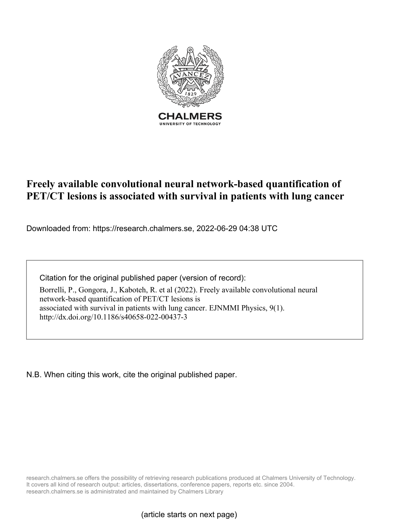

# **Freely available convolutional neural network-based quantification of PET/CT lesions is associated with survival in patients with lung cancer**

Downloaded from: https://research.chalmers.se, 2022-06-29 04:38 UTC

Citation for the original published paper (version of record):

Borrelli, P., Gongora, J., Kaboteh, R. et al (2022). Freely available convolutional neural network-based quantification of PET/CT lesions is associated with survival in patients with lung cancer. EJNMMI Physics, 9(1). http://dx.doi.org/10.1186/s40658-022-00437-3

N.B. When citing this work, cite the original published paper.

research.chalmers.se offers the possibility of retrieving research publications produced at Chalmers University of Technology. It covers all kind of research output: articles, dissertations, conference papers, reports etc. since 2004. research.chalmers.se is administrated and maintained by Chalmers Library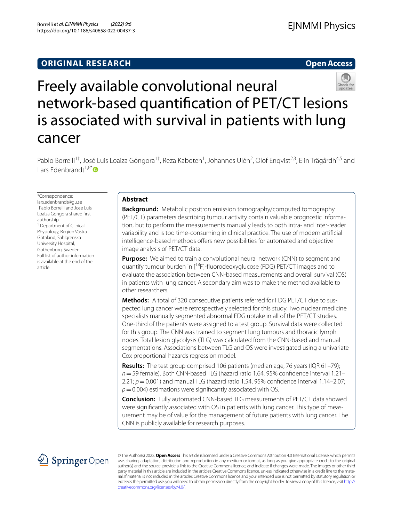# **ORIGINAL RESEARCH**

**Open Access**



Freely available convolutional neural network‑based quantifcation of PET/CT lesions is associated with survival in patients with lung cancer

Pablo Borrelli<sup>1†</sup>, José Luis Loaiza Góngora<sup>1†</sup>, Reza Kaboteh<sup>1</sup>, Johannes Ulén<sup>2</sup>, Olof Enqvist<sup>2,3</sup>, Elin Trägårdh<sup>4,5</sup> and Lars Edenbrandt<sup>1,6[\\*](http://orcid.org/0000-0002-0263-8820)</sup>

\*Correspondence: lars.edenbrandt@gu.se † Pablo Borrelli and Jose Luis Loaiza Gongora shared frst authorship <sup>1</sup> Department of Clinical Physiology, Region Västra Götaland, Sahlgrenska University Hospital, Gothenburg, Sweden Full list of author information is available at the end of the article

# **Abstract**

**Background:** Metabolic positron emission tomography/computed tomography (PET/CT) parameters describing tumour activity contain valuable prognostic information, but to perform the measurements manually leads to both intra- and inter-reader variability and is too time-consuming in clinical practice. The use of modern artifcial intelligence-based methods offers new possibilities for automated and objective image analysis of PET/CT data.

**Purpose:** We aimed to train a convolutional neural network (CNN) to segment and quantify tumour burden in [<sup>18</sup>F]-fluorodeoxyglucose (FDG) PET/CT images and to evaluate the association between CNN-based measurements and overall survival (OS) in patients with lung cancer. A secondary aim was to make the method available to other researchers.

**Methods:** A total of 320 consecutive patients referred for FDG PET/CT due to suspected lung cancer were retrospectively selected for this study. Two nuclear medicine specialists manually segmented abnormal FDG uptake in all of the PET/CT studies. One-third of the patients were assigned to a test group. Survival data were collected for this group. The CNN was trained to segment lung tumours and thoracic lymph nodes. Total lesion glycolysis (TLG) was calculated from the CNN-based and manual segmentations. Associations between TLG and OS were investigated using a univariate Cox proportional hazards regression model.

**Results:** The test group comprised 106 patients (median age, 76 years (IQR 61–79); *n*=59 female). Both CNN-based TLG (hazard ratio 1.64, 95% confdence interval 1.21–  $2.21$ ;  $p = 0.001$ ) and manual TLG (hazard ratio 1.54, 95% confidence interval 1.14–2.07; *p*=0.004) estimations were signifcantly associated with OS.

**Conclusion:** Fully automated CNN-based TLG measurements of PET/CT data showed were signifcantly associated with OS in patients with lung cancer. This type of measurement may be of value for the management of future patients with lung cancer. The CNN is publicly available for research purposes.



© The Author(s) 2022. **Open Access** This article is licensed under a Creative Commons Attribution 4.0 International License, which permits use, sharing, adaptation, distribution and reproduction in any medium or format, as long as you give appropriate credit to the original author(s) and the source, provide a link to the Creative Commons licence, and indicate if changes were made. The images or other third party material in this article are included in the article's Creative Commons licence, unless indicated otherwise in a credit line to the material. If material is not included in the article's Creative Commons licence and your intended use is not permitted by statutory regulation or exceeds the permitted use, you will need to obtain permission directly from the copyright holder. To view a copy of this licence, visit [http://](http://creativecommons.org/licenses/by/4.0/) [creativecommons.org/licenses/by/4.0/.](http://creativecommons.org/licenses/by/4.0/)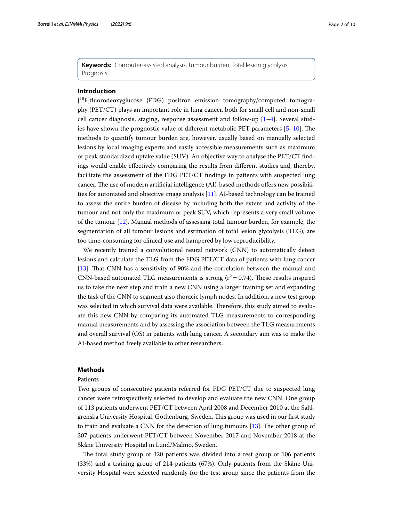**Keywords:** Computer-assisted analysis, Tumour burden, Total lesion glycolysis, Prognosis

# **Introduction**

[<sup>18</sup>F]fluorodeoxyglucose (FDG) positron emission tomography/computed tomography (PET/CT) plays an important role in lung cancer, both for small cell and non-small cell cancer diagnosis, staging, response assessment and follow-up  $[1-4]$  $[1-4]$ . Several studies have shown the prognostic value of different metabolic PET parameters  $[5-10]$  $[5-10]$ . The methods to quantify tumour burden are, however, usually based on manually selected lesions by local imaging experts and easily accessible measurements such as maximum or peak standardized uptake value (SUV). An objective way to analyse the PET/CT fndings would enable efectively comparing the results from diferent studies and, thereby, facilitate the assessment of the FDG PET/CT fndings in patients with suspected lung cancer. The use of modern artificial intelligence (AI)-based methods offers new possibilities for automated and objective image analysis [[11\]](#page-9-4). AI-based technology can be trained to assess the entire burden of disease by including both the extent and activity of the tumour and not only the maximum or peak SUV, which represents a very small volume of the tumour [[12\]](#page-9-5). Manual methods of assessing total tumour burden, for example, the segmentation of all tumour lesions and estimation of total lesion glycolysis (TLG), are too time-consuming for clinical use and hampered by low reproducibility.

We recently trained a convolutional neural network (CNN) to automatically detect lesions and calculate the TLG from the FDG PET/CT data of patients with lung cancer [[13\]](#page-10-0). Tat CNN has a sensitivity of 90% and the correlation between the manual and CNN-based automated TLG measurements is strong  $(r^2=0.74)$ . These results inspired us to take the next step and train a new CNN using a larger training set and expanding the task of the CNN to segment also thoracic lymph nodes. In addition, a new test group was selected in which survival data were available. Therefore, this study aimed to evaluate this new CNN by comparing its automated TLG measurements to corresponding manual measurements and by assessing the association between the TLG measurements and overall survival (OS) in patients with lung cancer. A secondary aim was to make the AI-based method freely available to other researchers.

## **Methods**

# **Patients**

Two groups of consecutive patients referred for FDG PET/CT due to suspected lung cancer were retrospectively selected to develop and evaluate the new CNN. One group of 113 patients underwent PET/CT between April 2008 and December 2010 at the Sahlgrenska University Hospital, Gothenburg, Sweden. Tis group was used in our frst study to train and evaluate a CNN for the detection of lung tumours  $[13]$  $[13]$  $[13]$ . The other group of 207 patients underwent PET/CT between November 2017 and November 2018 at the Skåne University Hospital in Lund/Malmö, Sweden.

The total study group of 320 patients was divided into a test group of 106 patients (33%) and a training group of 214 patients (67%). Only patients from the Skåne University Hospital were selected randomly for the test group since the patients from the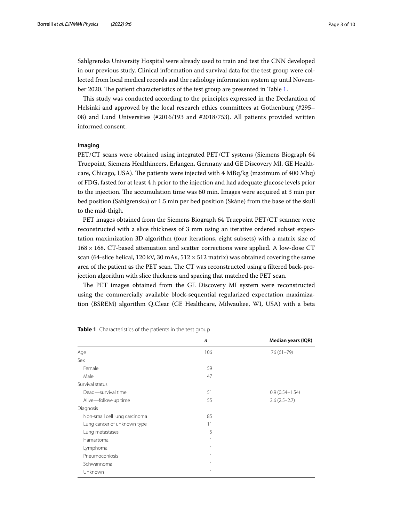Sahlgrenska University Hospital were already used to train and test the CNN developed in our previous study. Clinical information and survival data for the test group were collected from local medical records and the radiology information system up until Novem-ber 2020. The patient characteristics of the test group are presented in Table [1](#page-3-0).

Tis study was conducted according to the principles expressed in the Declaration of Helsinki and approved by the local research ethics committees at Gothenburg (#295– 08) and Lund Universities (#2016/193 and #2018/753). All patients provided written informed consent.

### **Imaging**

PET/CT scans were obtained using integrated PET/CT systems (Siemens Biograph 64 Truepoint, Siemens Healthineers, Erlangen, Germany and GE Discovery MI, GE Healthcare, Chicago, USA). The patients were injected with 4 MBq/kg (maximum of 400 Mbq) of FDG, fasted for at least 4 h prior to the injection and had adequate glucose levels prior to the injection. The accumulation time was 60 min. Images were acquired at 3 min per bed position (Sahlgrenska) or 1.5 min per bed position (Skåne) from the base of the skull to the mid-thigh.

PET images obtained from the Siemens Biograph 64 Truepoint PET/CT scanner were reconstructed with a slice thickness of 3 mm using an iterative ordered subset expectation maximization 3D algorithm (four iterations, eight subsets) with a matrix size of 168×168. CT-based attenuation and scatter corrections were applied. A low-dose CT scan (64-slice helical, 120 kV, 30 mAs,  $512 \times 512$  matrix) was obtained covering the same area of the patient as the PET scan. The CT was reconstructed using a filtered back-projection algorithm with slice thickness and spacing that matched the PET scan.

The PET images obtained from the GE Discovery MI system were reconstructed using the commercially available block-sequential regularized expectation maximization (BSREM) algorithm Q.Clear (GE Healthcare, Milwaukee, WI, USA) with a beta

|                               | $\mathsf{n}$ | Median years (IQR) |
|-------------------------------|--------------|--------------------|
| Age                           | 106          | 76 (61-79)         |
| Sex                           |              |                    |
| Female                        | 59           |                    |
| Male                          | 47           |                    |
| Survival status               |              |                    |
| Dead-survival time            | 51           | $0.9(0.54 - 1.54)$ |
| Alive-follow-up time          | 55           | $2.6(2.5-2.7)$     |
| Diagnosis                     |              |                    |
| Non-small cell lung carcinoma | 85           |                    |
| Lung cancer of unknown type   | 11           |                    |
| Lung metastases               | 5            |                    |
| Hamartoma                     |              |                    |
| Lymphoma                      |              |                    |
| Pneumoconiosis                |              |                    |
| Schwannoma                    |              |                    |
| Unknown                       | 1            |                    |
|                               |              |                    |

<span id="page-3-0"></span>

| Table 1 Characteristics of the patients in the test group |
|-----------------------------------------------------------|
|                                                           |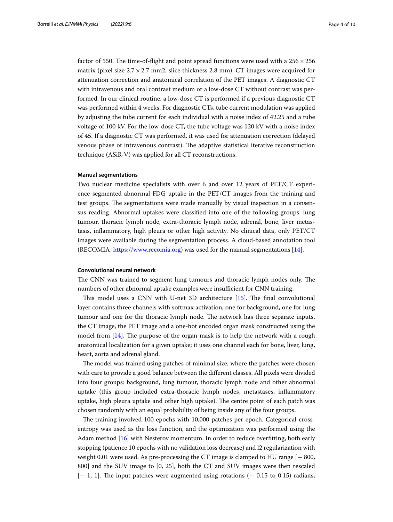factor of 550. The time-of-flight and point spread functions were used with a  $256 \times 256$ matrix (pixel size  $2.7 \times 2.7$  mm2, slice thickness 2.8 mm). CT images were acquired for attenuation correction and anatomical correlation of the PET images. A diagnostic CT with intravenous and oral contrast medium or a low-dose CT without contrast was performed. In our clinical routine, a low-dose CT is performed if a previous diagnostic CT was performed within 4 weeks. For diagnostic CTs, tube current modulation was applied by adjusting the tube current for each individual with a noise index of 42.25 and a tube voltage of 100 kV. For the low-dose CT, the tube voltage was 120 kV with a noise index of 45. If a diagnostic CT was performed, it was used for attenuation correction (delayed venous phase of intravenous contrast). The adaptive statistical iterative reconstruction technique (ASiR-V) was applied for all CT reconstructions.

### **Manual segmentations**

Two nuclear medicine specialists with over 6 and over 12 years of PET/CT experience segmented abnormal FDG uptake in the PET/CT images from the training and test groups. The segmentations were made manually by visual inspection in a consensus reading. Abnormal uptakes were classifed into one of the following groups: lung tumour, thoracic lymph node, extra-thoracic lymph node, adrenal, bone, liver metastasis, infammatory, high pleura or other high activity. No clinical data, only PET/CT images were available during the segmentation process. A cloud-based annotation tool (RECOMIA, <https://www.recomia.org>) was used for the manual segmentations [[14](#page-10-1)].

# **Convolutional neural network**

The CNN was trained to segment lung tumours and thoracic lymph nodes only. The numbers of other abnormal uptake examples were insufficient for CNN training.

This model uses a CNN with U-net 3D architecture [[15\]](#page-10-2). The final convolutional layer contains three channels with softmax activation, one for background, one for lung tumour and one for the thoracic lymph node. The network has three separate inputs, the CT image, the PET image and a one-hot encoded organ mask constructed using the model from  $[14]$  $[14]$ . The purpose of the organ mask is to help the network with a rough anatomical localization for a given uptake; it uses one channel each for bone, liver, lung, heart, aorta and adrenal gland.

The model was trained using patches of minimal size, where the patches were chosen with care to provide a good balance between the diferent classes. All pixels were divided into four groups: background, lung tumour, thoracic lymph node and other abnormal uptake (this group included extra-thoracic lymph nodes, metastases, infammatory uptake, high pleura uptake and other high uptake). The centre point of each patch was chosen randomly with an equal probability of being inside any of the four groups.

The training involved 100 epochs with 10,000 patches per epoch. Categorical crossentropy was used as the loss function, and the optimization was performed using the Adam method [[16\]](#page-10-3) with Nesterov momentum. In order to reduce overftting, both early stopping (patience 10 epochs with no validation loss decrease) and l2 regularization with weight 0.01 were used. As pre-processing the CT image is clamped to HU range [− 800, 800] and the SUV image to [0, 25], both the CT and SUV images were then rescaled  $[-1, 1]$ . The input patches were augmented using rotations  $(-0.15 \text{ to } 0.15)$  radians,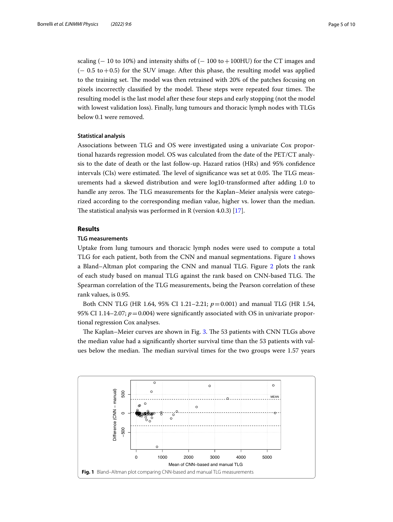scaling ( $-10$  to 10%) and intensity shifts of ( $-100$  to  $+100$ HU) for the CT images and  $(-0.5 \text{ to } +0.5)$  for the SUV image. After this phase, the resulting model was applied to the training set. The model was then retrained with 20% of the patches focusing on pixels incorrectly classified by the model. These steps were repeated four times. The resulting model is the last model after these four steps and early stopping (not the model with lowest validation loss). Finally, lung tumours and thoracic lymph nodes with TLGs below 0.1 were removed.

# **Statistical analysis**

Associations between TLG and OS were investigated using a univariate Cox proportional hazards regression model. OS was calculated from the date of the PET/CT analysis to the date of death or the last follow-up. Hazard ratios (HRs) and 95% confdence intervals (CIs) were estimated. The level of significance was set at 0.05. The TLG measurements had a skewed distribution and were log10-transformed after adding 1.0 to handle any zeros. The TLG measurements for the Kaplan–Meier analysis were categorized according to the corresponding median value, higher vs. lower than the median. The statistical analysis was performed in R (version 4.0.3)  $[17]$  $[17]$ .

# **Results**

# **TLG measurements**

Uptake from lung tumours and thoracic lymph nodes were used to compute a total TLG for each patient, both from the CNN and manual segmentations. Figure [1](#page-5-0) shows a Bland–Altman plot comparing the CNN and manual TLG. Figure [2](#page-6-0) plots the rank of each study based on manual TLG against the rank based on CNN-based TLG. The Spearman correlation of the TLG measurements, being the Pearson correlation of these rank values, is 0.95.

Both CNN TLG (HR 1.64, 95% CI 1.21–2.21; *p*=0.001) and manual TLG (HR 1.54, 95% CI 1.14–2.07;  $p = 0.004$ ) were significantly associated with OS in univariate proportional regression Cox analyses.

The Kaplan–Meier curves are shown in Fig. [3](#page-6-1). The 53 patients with CNN TLGs above the median value had a signifcantly shorter survival time than the 53 patients with values below the median. The median survival times for the two groups were 1.57 years

<span id="page-5-0"></span>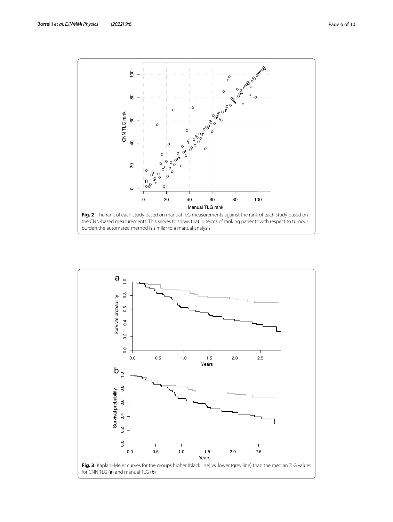

<span id="page-6-1"></span><span id="page-6-0"></span>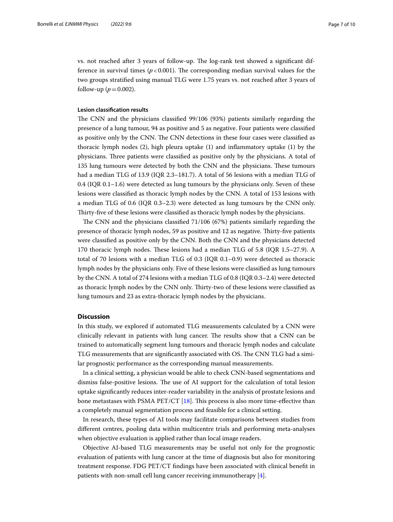vs. not reached after 3 years of follow-up. The log-rank test showed a significant difference in survival times  $(p<0.001)$ . The corresponding median survival values for the two groups stratifed using manual TLG were 1.75 years vs. not reached after 3 years of follow-up ( $p = 0.002$ ).

### **Lesion classifcation results**

The CNN and the physicians classified 99/106 (93%) patients similarly regarding the presence of a lung tumour, 94 as positive and 5 as negative. Four patients were classifed as positive only by the CNN. The CNN detections in these four cases were classified as thoracic lymph nodes (2), high pleura uptake (1) and infammatory uptake (1) by the physicians. Three patients were classified as positive only by the physicians. A total of 135 lung tumours were detected by both the CNN and the physicians. These tumours had a median TLG of 13.9 (IQR 2.3–181.7). A total of 56 lesions with a median TLG of 0.4 (IQR 0.1–1.6) were detected as lung tumours by the physicians only. Seven of these lesions were classifed as thoracic lymph nodes by the CNN. A total of 153 lesions with a median TLG of 0.6 (IQR 0.3–2.3) were detected as lung tumours by the CNN only. Thirty-five of these lesions were classified as thoracic lymph nodes by the physicians.

The CNN and the physicians classified  $71/106$  (67%) patients similarly regarding the presence of thoracic lymph nodes, 59 as positive and 12 as negative. Tirty-fve patients were classifed as positive only by the CNN. Both the CNN and the physicians detected 170 thoracic lymph nodes. These lesions had a median TLG of 5.8 (IQR 1.5–27.9). A total of 70 lesions with a median TLG of 0.3 (IQR 0.1–0.9) were detected as thoracic lymph nodes by the physicians only. Five of these lesions were classifed as lung tumours by the CNN. A total of 274 lesions with a median TLG of 0.8 (IQR 0.3–2.4) were detected as thoracic lymph nodes by the CNN only. Tirty-two of these lesions were classifed as lung tumours and 23 as extra-thoracic lymph nodes by the physicians.

# **Discussion**

In this study, we explored if automated TLG measurements calculated by a CNN were clinically relevant in patients with lung cancer. The results show that a CNN can be trained to automatically segment lung tumours and thoracic lymph nodes and calculate TLG measurements that are significantly associated with OS. The CNN TLG had a similar prognostic performance as the corresponding manual measurements.

In a clinical setting, a physician would be able to check CNN-based segmentations and dismiss false-positive lesions. The use of AI support for the calculation of total lesion uptake signifcantly reduces inter-reader variability in the analysis of prostate lesions and bone metastases with PSMA PET/CT  $[18]$ . This process is also more time-effective than a completely manual segmentation process and feasible for a clinical setting.

In research, these types of AI tools may facilitate comparisons between studies from diferent centres, pooling data within multicentre trials and performing meta-analyses when objective evaluation is applied rather than local image readers.

Objective AI-based TLG measurements may be useful not only for the prognostic evaluation of patients with lung cancer at the time of diagnosis but also for monitoring treatment response. FDG PET/CT fndings have been associated with clinical beneft in patients with non-small cell lung cancer receiving immunotherapy [\[4](#page-9-1)].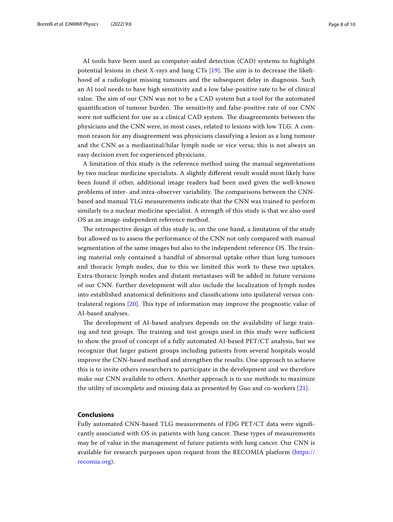AI tools have been used as computer-aided detection (CAD) systems to highlight potential lesions in chest X-rays and lung  $CTs$  [\[19](#page-10-6)]. The aim is to decrease the likelihood of a radiologist missing tumours and the subsequent delay in diagnosis. Such an AI tool needs to have high sensitivity and a low false-positive rate to be of clinical value. The aim of our CNN was not to be a CAD system but a tool for the automated quantification of tumour burden. The sensitivity and false-positive rate of our CNN were not sufficient for use as a clinical CAD system. The disagreements between the physicians and the CNN were, in most cases, related to lesions with low TLG. A common reason for any disagreement was physicians classifying a lesion as a lung tumour and the CNN as a mediastinal/hilar lymph node or vice versa; this is not always an easy decision even for experienced physicians.

A limitation of this study is the reference method using the manual segmentations by two nuclear medicine specialists. A slightly diferent result would most likely have been found if other, additional image readers had been used given the well-known problems of inter- and intra-observer variability. The comparisons between the CNNbased and manual TLG measurements indicate that the CNN was trained to perform similarly to a nuclear medicine specialist. A strength of this study is that we also used OS as an image-independent reference method.

The retrospective design of this study is, on the one hand, a limitation of the study but allowed us to assess the performance of the CNN not only compared with manual segmentation of the same images but also to the independent reference OS. The training material only contained a handful of abnormal uptake other than lung tumours and thoracic lymph nodes, due to this we limited this work to these two uptakes. Extra-thoracic lymph nodes and distant metastases will be added in future versions of our CNN. Further development will also include the localization of lymph nodes into established anatomical defnitions and classifcations into ipsilateral versus contralateral regions [[20](#page-10-7)]. Tis type of information may improve the prognostic value of AI-based analyses.

The development of AI-based analyses depends on the availability of large training and test groups. The training and test groups used in this study were sufficient to show the proof of concept of a fully automated AI-based PET/CT analysis, but we recognize that larger patient groups including patients from several hospitals would improve the CNN-based method and strengthen the results. One approach to achieve this is to invite others researchers to participate in the development and we therefore make our CNN available to others. Another approach is to use methods to maximize the utility of incomplete and missing data as presented by Guo and co-workers [[21\]](#page-10-8).

# **Conclusions**

Fully automated CNN-based TLG measurements of FDG PET/CT data were signifcantly associated with OS in patients with lung cancer. These types of measurements may be of value in the management of future patients with lung cancer. Our CNN is available for research purposes upon request from the RECOMIA platform [\(https://](https://recomia.org) [recomia.org](https://recomia.org)).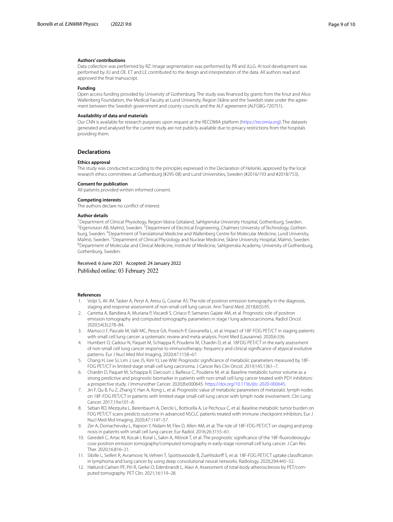### **Authors' contributions**

Data collection was performed by RZ. Image segmentation was performed by PB and JLLG. AI tool development was performed by JU and OE. ET and LE contributed to the design and interpretation of the data. All authors read and approved the fnal manuscript.

#### **Funding**

Open access funding provided by University of Gothenburg. The study was fnanced by grants from the Knut and Alice Wallenberg Foundation, the Medical Faculty at Lund University, Region Skåne and the Swedish state under the agreement between the Swedish government and county councils and the ALF agreement (ALFGBG-720751).

### **Availability of data and materials**

Our CNN is available for research purposes upon request at the RECOMIA platform ([https://recomia.org\)](https://recomia.org). The datasets generated and analysed for the current study are not publicly available due to privacy restrictions from the hospitals providing them.

### **Declarations**

### **Ethics approval**

The study was conducted according to the principles expressed in the Declaration of Helsinki, approved by the local research ethics committees at Gothenburg (#295-08) and Lund Universities, Sweden (#2016/193 and #2018/753).

#### **Consent for publication**

All patients provided written informed consent.

#### **Competing interests**

The authors declare no confict of interest.

### **Author details**

<sup>1</sup> Department of Clinical Physiology, Region Västra Götaland, Sahlgrenska University Hospital, Gothenburg, Sweden.<br><sup>2</sup>Eigenvision AB, Malmö, Sweden, <sup>3</sup> Department of Electrical Engineering, Chalmers University of Technol Eigenvision AB, Malmö, Sweden. <sup>3</sup>Department of Electrical Engineering, Chalmers University of Technology, Gothenburg, Sweden. <sup>4</sup> Department of Translational Medicine and Wallenberg Centre for Molecular Medicine, Lund University, Malmö, Sweden. <sup>5</sup> Department of Clinical Physiology and Nuclear Medicine, Skåne University Hospital, Malmö, Sweden.<br><sup>6</sup> Department of Melocular and Clinical Medicine, Jestitute of Medicine, Sablemecka Academy, University <sup>6</sup>Department of Molecular and Clinical Medicine, Institute of Medicine, Sahlgrenska Academy, University of Gothenburg, Gothenburg, Sweden.

### Received: 6 June 2021 Accepted: 24 January 2022 Published online: 03 February 2022

#### **References**

- <span id="page-9-0"></span>1. Volpi S, Ali JM, Tasker A, Peryt A, Aresu G, Coonar AS. The role of positron emission tomography in the diagnosis, staging and response assessment of non-small cell lung cancer. Ann Transl Med. 2018;6(5):95.
- 2. Carretta A, Bandiera A, Muriana P, Viscardi S, Ciriaco P, Samanes Gajate AM, et al. Prognostic role of positron emission tomography and computed tomography parameters in stage I lung adenocarcinoma. Radiol Oncol. 2020;54(3):278–84.
- 3. Martucci F, Pascale M, Valli MC, Pesce GA, Froesch P, Giovanella L, et al. Impact of 18F-FDG PET/CT in staging patients with small cell lung cancer: a systematic review and meta-analysis. Front Med (Lausanne). 2020;6:336.
- <span id="page-9-1"></span>4. Humbert O, Cadour N, Paquet M, Schiappa R, Poudenx M, Chardin D, et al. 18FDG PET/CT in the early assessment of non-small cell lung cancer response to immunotherapy: frequency and clinical signifcance of atypical evolutive patterns. Eur J Nucl Med Mol Imaging. 2020;47:1158–67.
- <span id="page-9-2"></span>5. Chang H, Lee SJ, Lim J, Lee JS, Kim YJ, Lee WW. Prognostic signifcance of metabolic parameters measured by 18F-FDG PET/CT in limited-stage small-cell lung carcinoma. J Cancer Res Clin Oncol. 2019;145:1361–7.
- 6. Chardin D, Paquet M, Schiappa R, Darcourt J, Bailleux C, Poudenx M, et al. Baseline metabolic tumor volume as a strong predictive and prognostic biomarker in patients with non-small cell lung cancer treated with PD1 inhibitors: a prospective study. J Immunother Cancer. 2020;8:e000645. <https://doi.org/10.1136/jitc-2020-000645>.
- 7. Jin F, Qu B, Fu Z, Zhang Y, Han A, Kong L, et al. Prognostic value of metabolic parameters of metastatic lymph nodes on 18F-FDG PET/CT in patients with limited-stage small-cell lung cancer with lymph node involvement. Clin Lung Cancer. 2017;19:e101–8.
- 8. Seban RD, Mezquita L, Berenbaum A, Dercle L, Botticella A, Le Pechoux C, et al. Baseline metabolic tumor burden on FDG PET/CT scans predicts outcome in advanced NSCLC patients treated with immune checkpoint inhibitors. Eur J Nucl Med Mol Imaging. 2020;47:1147–57.
- 9. Zer A, Domachevsky L, Rapson Y, Nidam M, Flex D, Allen AM, et al. The role of 18F-FDG PET/CT on staging and prognosis in patients with small cell lung cancer. Eur Radiol. 2016;26:3155–61.
- <span id="page-9-3"></span>10. Geredeli C, Artac M, Kocak I, Koral L, Sakin A, Altinok T, et al. The prognostic signifcance of the 18F-fuorodeoxyglucose positron emission tomography/computed tomography in early-stage nonsmall cell lung cancer. J Can Res Ther. 2020;16:816–21.
- <span id="page-9-4"></span>11. Sibille L, Seifert R, Avramovic N, Vehren T, Spottiswoode B, Zuehlsdorff S, et al. 18F-FDG PET/CT uptake classification in lymphoma and lung cancer by using deep convolutional neural networks. Radiology. 2020;294:445–52.
- <span id="page-9-5"></span>12. Høilund-Carlsen PF, Piri R, Gerke O, Edenbrandt L, Alavi A. Assessment of total-body atherosclerosis by PET/computed tomography. PET Clin. 2021;16:119–28.